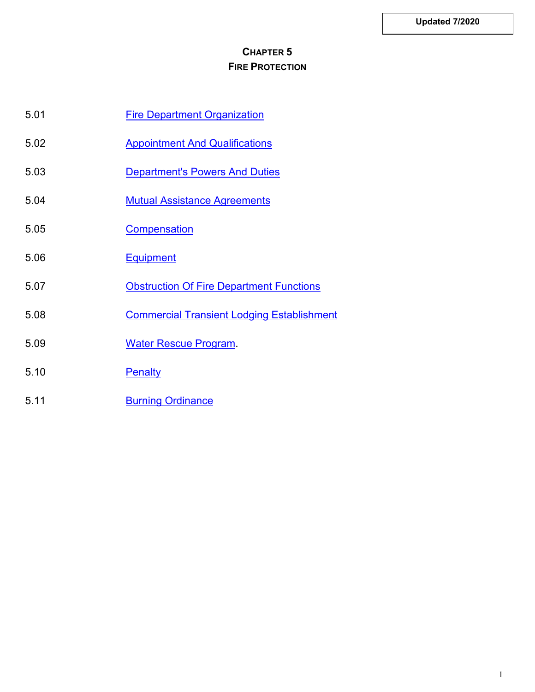## **CHAPTER 5 FIRE PROTECTION**

- 5.01 [Fire Department Organization](#page-1-0)
- 5.02 [Appointment And Qualifications](#page-1-1)
- 5.03 [Department's Powers And Duties](#page-1-2)
- 5.04 [Mutual Assistance Agreements](#page-3-0)
- 5.05 [Compensation](#page-3-1)
- 5.06 [Equipment](#page-3-2)
- 5.07 [Obstruction Of Fire Department Functions](#page-4-0)
- 5.08 [Commercial Transient Lodging Establishment](#page-4-1)
- 5.09 [Water Rescue Program.](#page-4-2)
- 5.10 [Penalty](#page-7-0)
- 5.11 **[Burning Ordinance](#page-7-1)**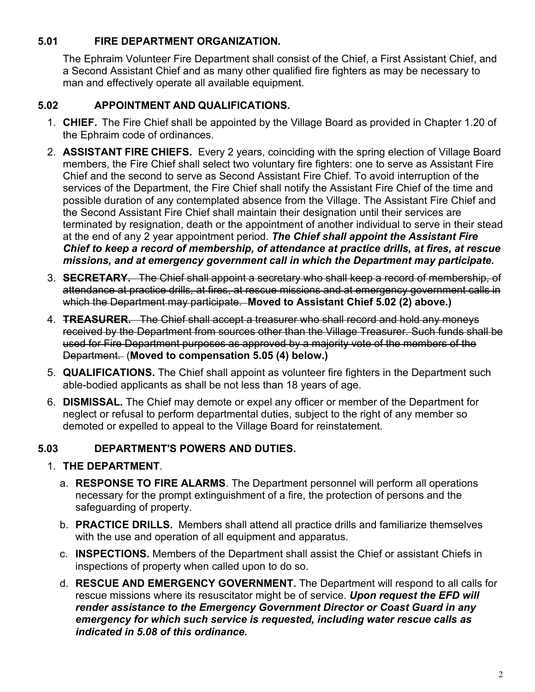## <span id="page-1-0"></span>**5.01 FIRE DEPARTMENT ORGANIZATION.**

The Ephraim Volunteer Fire Department shall consist of the Chief, a First Assistant Chief, and a Second Assistant Chief and as many other qualified fire fighters as may be necessary to man and effectively operate all available equipment.

## <span id="page-1-1"></span>**5.02 APPOINTMENT AND QUALIFICATIONS.**

- 1. **CHIEF.** The Fire Chief shall be appointed by the Village Board as provided in Chapter 1.20 of the Ephraim code of ordinances.
- 2. **ASSISTANT FIRE CHIEFS.** Every 2 years, coinciding with the spring election of Village Board members, the Fire Chief shall select two voluntary fire fighters: one to serve as Assistant Fire Chief and the second to serve as Second Assistant Fire Chief. To avoid interruption of the services of the Department, the Fire Chief shall notify the Assistant Fire Chief of the time and possible duration of any contemplated absence from the Village. The Assistant Fire Chief and the Second Assistant Fire Chief shall maintain their designation until their services are terminated by resignation, death or the appointment of another individual to serve in their stead at the end of any 2 year appointment period. *The Chief shall appoint the Assistant Fire Chief to keep a record of membership, of attendance at practice drills, at fires, at rescue missions, and at emergency government call in which the Department may participate.*
- 3. **SECRETARY.** The Chief shall appoint a secretary who shall keep a record of membership, of attendance at practice drills, at fires, at rescue missions and at emergency government calls in which the Department may participate. **Moved to Assistant Chief 5.02 (2) above.)**
- 4. **TREASURER.** The Chief shall accept a treasurer who shall record and hold any moneys received by the Department from sources other than the Village Treasurer. Such funds shall be used for Fire Department purposes as approved by a majority vote of the members of the Department. (**Moved to compensation 5.05 (4) below.)**
- 5. **QUALIFICATIONS.** The Chief shall appoint as volunteer fire fighters in the Department such able-bodied applicants as shall be not less than 18 years of age.
- 6. **DISMISSAL.** The Chief may demote or expel any officer or member of the Department for neglect or refusal to perform departmental duties, subject to the right of any member so demoted or expelled to appeal to the Village Board for reinstatement.

## <span id="page-1-2"></span>**5.03 DEPARTMENT'S POWERS AND DUTIES.**

## 1. **THE DEPARTMENT**.

- a. **RESPONSE TO FIRE ALARMS**. The Department personnel will perform all operations necessary for the prompt extinguishment of a fire, the protection of persons and the safeguarding of property.
- b. **PRACTICE DRILLS.** Members shall attend all practice drills and familiarize themselves with the use and operation of all equipment and apparatus.
- c. **INSPECTIONS.** Members of the Department shall assist the Chief or assistant Chiefs in inspections of property when called upon to do so.
- d. **RESCUE AND EMERGENCY GOVERNMENT.** The Department will respond to all calls for rescue missions where its resuscitator might be of service. *Upon request the EFD will render assistance to the Emergency Government Director or Coast Guard in any emergency for which such service is requested, including water rescue calls as indicated in 5.08 of this ordinance.*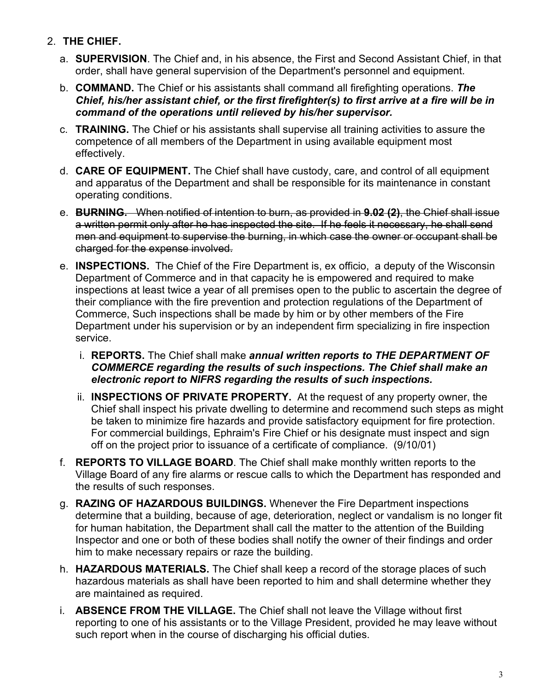- 2. **THE CHIEF.**
	- a. **SUPERVISION**. The Chief and, in his absence, the First and Second Assistant Chief, in that order, shall have general supervision of the Department's personnel and equipment.
	- b. **COMMAND.** The Chief or his assistants shall command all firefighting operations. *The Chief, his/her assistant chief, or the first firefighter(s) to first arrive at a fire will be in command of the operations until relieved by his/her supervisor.*
	- c. **TRAINING.** The Chief or his assistants shall supervise all training activities to assure the competence of all members of the Department in using available equipment most effectively.
	- d. **CARE OF EQUIPMENT.** The Chief shall have custody, care, and control of all equipment and apparatus of the Department and shall be responsible for its maintenance in constant operating conditions.
	- e. **BURNING.** When notified of intention to burn, as provided in **9.02 (2)**, the Chief shall issue a written permit only after he has inspected the site. If he feels it necessary, he shall send men and equipment to supervise the burning, in which case the owner or occupant shall be charged for the expense involved.
	- e. **INSPECTIONS.** The Chief of the Fire Department is, ex officio, a deputy of the Wisconsin Department of Commerce and in that capacity he is empowered and required to make inspections at least twice a year of all premises open to the public to ascertain the degree of their compliance with the fire prevention and protection regulations of the Department of Commerce, Such inspections shall be made by him or by other members of the Fire Department under his supervision or by an independent firm specializing in fire inspection service.
		- i. **REPORTS.** The Chief shall make *annual written reports to THE DEPARTMENT OF COMMERCE regarding the results of such inspections. The Chief shall make an electronic report to NIFRS regarding the results of such inspections.*
		- ii. **INSPECTIONS OF PRIVATE PROPERTY.** At the request of any property owner, the Chief shall inspect his private dwelling to determine and recommend such steps as might be taken to minimize fire hazards and provide satisfactory equipment for fire protection. For commercial buildings, Ephraim's Fire Chief or his designate must inspect and sign off on the project prior to issuance of a certificate of compliance. (9/10/01)
	- f. **REPORTS TO VILLAGE BOARD**. The Chief shall make monthly written reports to the Village Board of any fire alarms or rescue calls to which the Department has responded and the results of such responses.
	- g. **RAZING OF HAZARDOUS BUILDINGS.** Whenever the Fire Department inspections determine that a building, because of age, deterioration, neglect or vandalism is no longer fit for human habitation, the Department shall call the matter to the attention of the Building Inspector and one or both of these bodies shall notify the owner of their findings and order him to make necessary repairs or raze the building.
	- h. **HAZARDOUS MATERIALS.** The Chief shall keep a record of the storage places of such hazardous materials as shall have been reported to him and shall determine whether they are maintained as required.
	- i. **ABSENCE FROM THE VILLAGE.** The Chief shall not leave the Village without first reporting to one of his assistants or to the Village President, provided he may leave without such report when in the course of discharging his official duties.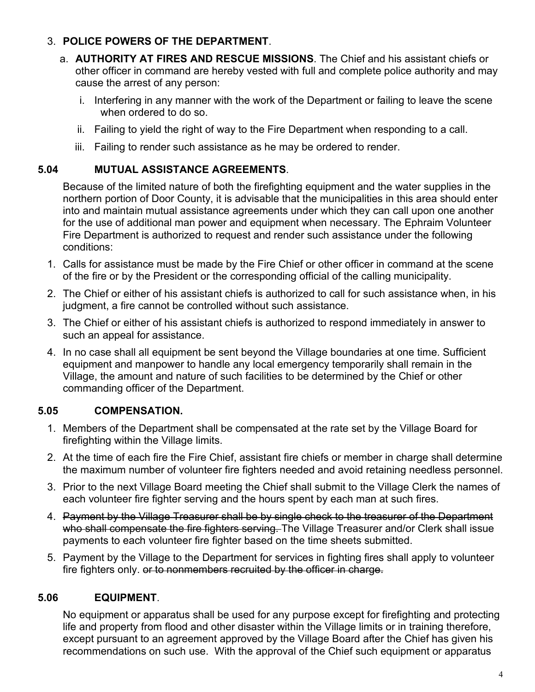## 3. **POLICE POWERS OF THE DEPARTMENT**.

- a. **AUTHORITY AT FIRES AND RESCUE MISSIONS**. The Chief and his assistant chiefs or other officer in command are hereby vested with full and complete police authority and may cause the arrest of any person:
	- i. Interfering in any manner with the work of the Department or failing to leave the scene when ordered to do so.
	- ii. Failing to yield the right of way to the Fire Department when responding to a call.
	- iii. Failing to render such assistance as he may be ordered to render.

### <span id="page-3-0"></span>**5.04 MUTUAL ASSISTANCE AGREEMENTS**.

Because of the limited nature of both the firefighting equipment and the water supplies in the northern portion of Door County, it is advisable that the municipalities in this area should enter into and maintain mutual assistance agreements under which they can call upon one another for the use of additional man power and equipment when necessary. The Ephraim Volunteer Fire Department is authorized to request and render such assistance under the following conditions:

- 1. Calls for assistance must be made by the Fire Chief or other officer in command at the scene of the fire or by the President or the corresponding official of the calling municipality.
- 2. The Chief or either of his assistant chiefs is authorized to call for such assistance when, in his judgment, a fire cannot be controlled without such assistance.
- 3. The Chief or either of his assistant chiefs is authorized to respond immediately in answer to such an appeal for assistance.
- 4. In no case shall all equipment be sent beyond the Village boundaries at one time. Sufficient equipment and manpower to handle any local emergency temporarily shall remain in the Village, the amount and nature of such facilities to be determined by the Chief or other commanding officer of the Department.

## <span id="page-3-1"></span>**5.05 COMPENSATION.**

- 1. Members of the Department shall be compensated at the rate set by the Village Board for firefighting within the Village limits.
- 2. At the time of each fire the Fire Chief, assistant fire chiefs or member in charge shall determine the maximum number of volunteer fire fighters needed and avoid retaining needless personnel.
- 3. Prior to the next Village Board meeting the Chief shall submit to the Village Clerk the names of each volunteer fire fighter serving and the hours spent by each man at such fires.
- 4. Payment by the Village Treasurer shall be by single check to the treasurer of the Department who shall compensate the fire fighters serving. The Village Treasurer and/or Clerk shall issue payments to each volunteer fire fighter based on the time sheets submitted.
- 5. Payment by the Village to the Department for services in fighting fires shall apply to volunteer fire fighters only. or to nonmembers recruited by the officer in charge.

## <span id="page-3-2"></span>**5.06 EQUIPMENT**.

No equipment or apparatus shall be used for any purpose except for firefighting and protecting life and property from flood and other disaster within the Village limits or in training therefore, except pursuant to an agreement approved by the Village Board after the Chief has given his recommendations on such use. With the approval of the Chief such equipment or apparatus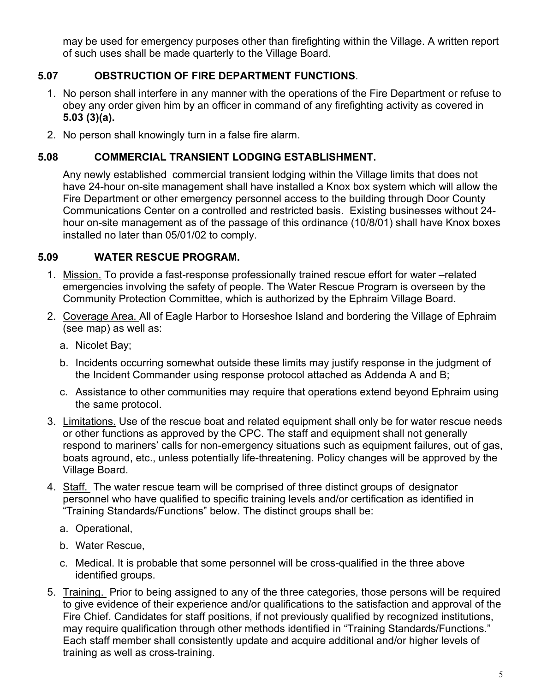may be used for emergency purposes other than firefighting within the Village. A written report of such uses shall be made quarterly to the Village Board.

## <span id="page-4-0"></span>**5.07 OBSTRUCTION OF FIRE DEPARTMENT FUNCTIONS**.

- 1. No person shall interfere in any manner with the operations of the Fire Department or refuse to obey any order given him by an officer in command of any firefighting activity as covered in **5.03 (3)(a).**
- 2. No person shall knowingly turn in a false fire alarm.

#### <span id="page-4-1"></span>**5.08 COMMERCIAL TRANSIENT LODGING ESTABLISHMENT.**

Any newly established commercial transient lodging within the Village limits that does not have 24-hour on-site management shall have installed a Knox box system which will allow the Fire Department or other emergency personnel access to the building through Door County Communications Center on a controlled and restricted basis. Existing businesses without 24 hour on-site management as of the passage of this ordinance (10/8/01) shall have Knox boxes installed no later than 05/01/02 to comply.

#### <span id="page-4-2"></span>**5.09 WATER RESCUE PROGRAM.**

- 1. Mission. To provide a fast-response professionally trained rescue effort for water –related emergencies involving the safety of people. The Water Rescue Program is overseen by the Community Protection Committee, which is authorized by the Ephraim Village Board.
- 2. Coverage Area. All of Eagle Harbor to Horseshoe Island and bordering the Village of Ephraim (see map) as well as:
	- a. Nicolet Bay;
	- b. Incidents occurring somewhat outside these limits may justify response in the judgment of the Incident Commander using response protocol attached as Addenda A and B;
	- c. Assistance to other communities may require that operations extend beyond Ephraim using the same protocol.
- 3. Limitations. Use of the rescue boat and related equipment shall only be for water rescue needs or other functions as approved by the CPC. The staff and equipment shall not generally respond to mariners' calls for non-emergency situations such as equipment failures, out of gas, boats aground, etc., unless potentially life-threatening. Policy changes will be approved by the Village Board.
- 4. Staff. The water rescue team will be comprised of three distinct groups of designator personnel who have qualified to specific training levels and/or certification as identified in "Training Standards/Functions" below. The distinct groups shall be:
	- a. Operational,
	- b. Water Rescue,
	- c. Medical. It is probable that some personnel will be cross-qualified in the three above identified groups.
- 5. Training. Prior to being assigned to any of the three categories, those persons will be required to give evidence of their experience and/or qualifications to the satisfaction and approval of the Fire Chief. Candidates for staff positions, if not previously qualified by recognized institutions, may require qualification through other methods identified in "Training Standards/Functions." Each staff member shall consistently update and acquire additional and/or higher levels of training as well as cross-training.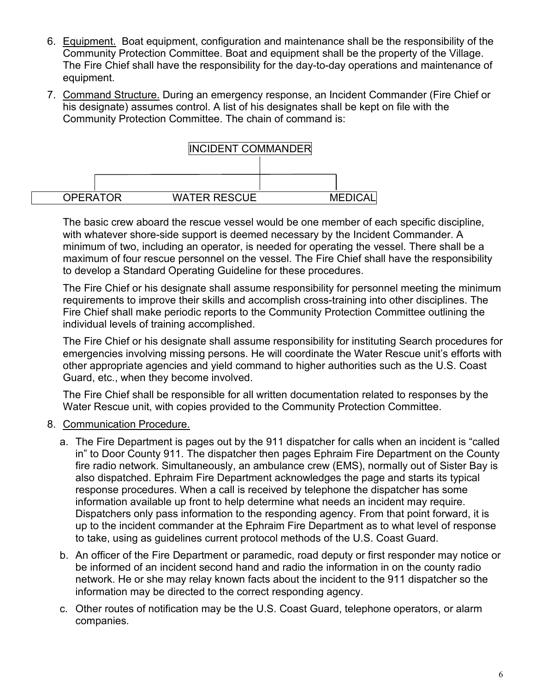- 6. Equipment. Boat equipment, configuration and maintenance shall be the responsibility of the Community Protection Committee. Boat and equipment shall be the property of the Village. The Fire Chief shall have the responsibility for the day-to-day operations and maintenance of equipment.
- 7. Command Structure. During an emergency response, an Incident Commander (Fire Chief or his designate) assumes control. A list of his designates shall be kept on file with the Community Protection Committee. The chain of command is:



The basic crew aboard the rescue vessel would be one member of each specific discipline, with whatever shore-side support is deemed necessary by the Incident Commander. A minimum of two, including an operator, is needed for operating the vessel. There shall be a maximum of four rescue personnel on the vessel. The Fire Chief shall have the responsibility to develop a Standard Operating Guideline for these procedures.

The Fire Chief or his designate shall assume responsibility for personnel meeting the minimum requirements to improve their skills and accomplish cross-training into other disciplines. The Fire Chief shall make periodic reports to the Community Protection Committee outlining the individual levels of training accomplished.

The Fire Chief or his designate shall assume responsibility for instituting Search procedures for emergencies involving missing persons. He will coordinate the Water Rescue unit's efforts with other appropriate agencies and yield command to higher authorities such as the U.S. Coast Guard, etc., when they become involved.

The Fire Chief shall be responsible for all written documentation related to responses by the Water Rescue unit, with copies provided to the Community Protection Committee.

- 8. Communication Procedure.
	- a. The Fire Department is pages out by the 911 dispatcher for calls when an incident is "called in" to Door County 911. The dispatcher then pages Ephraim Fire Department on the County fire radio network. Simultaneously, an ambulance crew (EMS), normally out of Sister Bay is also dispatched. Ephraim Fire Department acknowledges the page and starts its typical response procedures. When a call is received by telephone the dispatcher has some information available up front to help determine what needs an incident may require. Dispatchers only pass information to the responding agency. From that point forward, it is up to the incident commander at the Ephraim Fire Department as to what level of response to take, using as guidelines current protocol methods of the U.S. Coast Guard.
	- b. An officer of the Fire Department or paramedic, road deputy or first responder may notice or be informed of an incident second hand and radio the information in on the county radio network. He or she may relay known facts about the incident to the 911 dispatcher so the information may be directed to the correct responding agency.
	- c. Other routes of notification may be the U.S. Coast Guard, telephone operators, or alarm companies.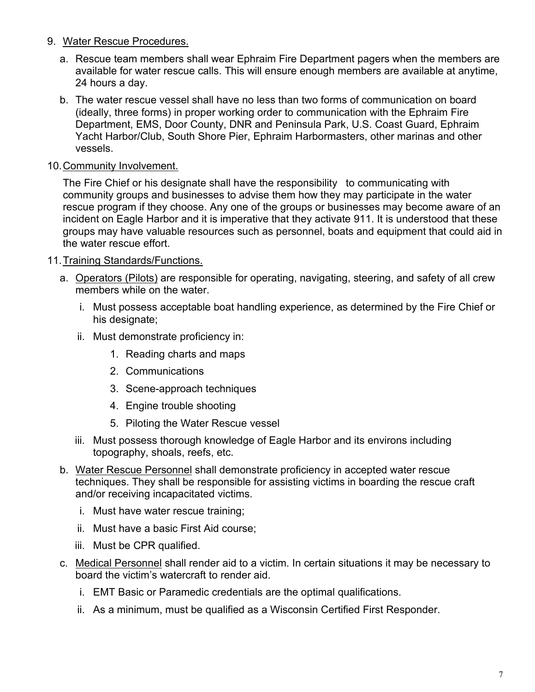#### 9. Water Rescue Procedures.

- a. Rescue team members shall wear Ephraim Fire Department pagers when the members are available for water rescue calls. This will ensure enough members are available at anytime, 24 hours a day.
- b. The water rescue vessel shall have no less than two forms of communication on board (ideally, three forms) in proper working order to communication with the Ephraim Fire Department, EMS, Door County, DNR and Peninsula Park, U.S. Coast Guard, Ephraim Yacht Harbor/Club, South Shore Pier, Ephraim Harbormasters, other marinas and other vessels.

### 10.Community Involvement.

The Fire Chief or his designate shall have the responsibility to communicating with community groups and businesses to advise them how they may participate in the water rescue program if they choose. Any one of the groups or businesses may become aware of an incident on Eagle Harbor and it is imperative that they activate 911. It is understood that these groups may have valuable resources such as personnel, boats and equipment that could aid in the water rescue effort.

#### 11.Training Standards/Functions.

- a. Operators (Pilots) are responsible for operating, navigating, steering, and safety of all crew members while on the water.
	- i. Must possess acceptable boat handling experience, as determined by the Fire Chief or his designate;
	- ii. Must demonstrate proficiency in:
		- 1. Reading charts and maps
		- 2. Communications
		- 3. Scene-approach techniques
		- 4. Engine trouble shooting
		- 5. Piloting the Water Rescue vessel
	- iii. Must possess thorough knowledge of Eagle Harbor and its environs including topography, shoals, reefs, etc.
- b. Water Rescue Personnel shall demonstrate proficiency in accepted water rescue techniques. They shall be responsible for assisting victims in boarding the rescue craft and/or receiving incapacitated victims.
	- i. Must have water rescue training;
	- ii. Must have a basic First Aid course;
	- iii. Must be CPR qualified.
- c. Medical Personnel shall render aid to a victim. In certain situations it may be necessary to board the victim's watercraft to render aid.
	- i. EMT Basic or Paramedic credentials are the optimal qualifications.
	- ii. As a minimum, must be qualified as a Wisconsin Certified First Responder.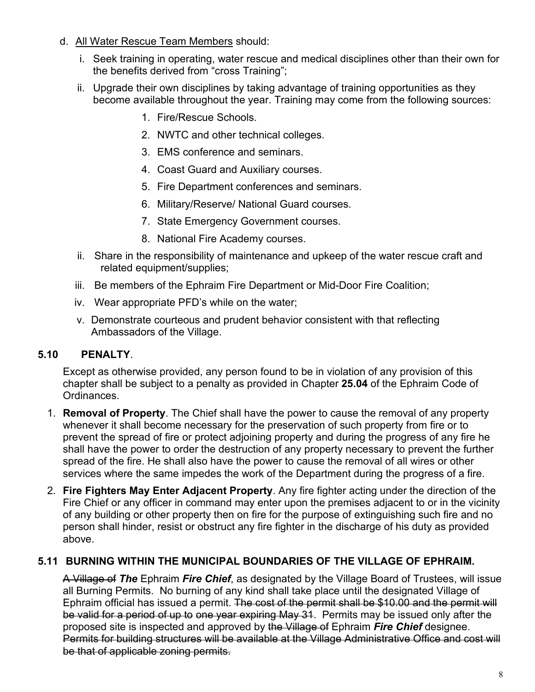- d. All Water Rescue Team Members should:
	- i. Seek training in operating, water rescue and medical disciplines other than their own for the benefits derived from "cross Training";
	- ii. Upgrade their own disciplines by taking advantage of training opportunities as they become available throughout the year. Training may come from the following sources:
		- 1. Fire/Rescue Schools.
		- 2. NWTC and other technical colleges.
		- 3. EMS conference and seminars.
		- 4. Coast Guard and Auxiliary courses.
		- 5. Fire Department conferences and seminars.
		- 6. Military/Reserve/ National Guard courses.
		- 7. State Emergency Government courses.
		- 8. National Fire Academy courses.
	- ii. Share in the responsibility of maintenance and upkeep of the water rescue craft and related equipment/supplies;
	- iii. Be members of the Ephraim Fire Department or Mid-Door Fire Coalition;
	- iv. Wear appropriate PFD's while on the water;
	- v. Demonstrate courteous and prudent behavior consistent with that reflecting Ambassadors of the Village.

## <span id="page-7-0"></span>**5.10 PENALTY**.

Except as otherwise provided, any person found to be in violation of any provision of this chapter shall be subject to a penalty as provided in Chapter **25.04** of the Ephraim Code of Ordinances.

- 1. **Removal of Property**. The Chief shall have the power to cause the removal of any property whenever it shall become necessary for the preservation of such property from fire or to prevent the spread of fire or protect adjoining property and during the progress of any fire he shall have the power to order the destruction of any property necessary to prevent the further spread of the fire. He shall also have the power to cause the removal of all wires or other services where the same impedes the work of the Department during the progress of a fire.
- 2. **Fire Fighters May Enter Adjacent Property**. Any fire fighter acting under the direction of the Fire Chief or any officer in command may enter upon the premises adjacent to or in the vicinity of any building or other property then on fire for the purpose of extinguishing such fire and no person shall hinder, resist or obstruct any fire fighter in the discharge of his duty as provided above.

## <span id="page-7-1"></span>**5.11 BURNING WITHIN THE MUNICIPAL BOUNDARIES OF THE VILLAGE OF EPHRAIM.**

A Village of *The* Ephraim *Fire Chief*, as designated by the Village Board of Trustees, will issue all Burning Permits. No burning of any kind shall take place until the designated Village of Ephraim official has issued a permit. The cost of the permit shall be \$10.00 and the permit will be valid for a period of up to one year expiring May 31. Permits may be issued only after the proposed site is inspected and approved by the Village of Ephraim *Fire Chief* designee. Permits for building structures will be available at the Village Administrative Office and cost will be that of applicable zoning permits.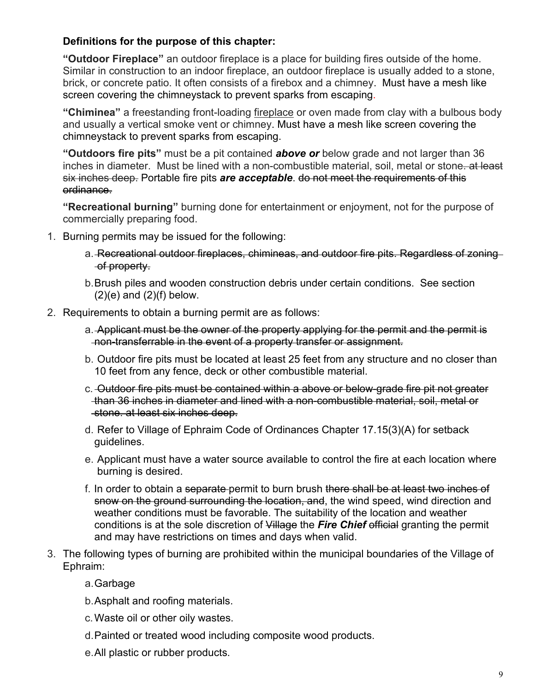## **Definitions for the purpose of this chapter:**

**"Outdoor Fireplace"** an outdoor fireplace is a place for building fires outside of the home. Similar in construction to an indoor fireplace, an outdoor fireplace is usually added to a stone, brick, or concrete patio. It often consists of a firebox and a chimney. Must have a mesh like screen covering the chimneystack to prevent sparks from escaping.

**"Chiminea"** a freestanding front-loading [fireplace](http://en.wikipedia.org/wiki/Fireplace) or oven made from clay with a bulbous body and usually a vertical smoke vent or chimney. Must have a mesh like screen covering the chimneystack to prevent sparks from escaping.

**"Outdoors fire pits"** must be a pit contained *above or* below grade and not larger than 36 inches in diameter. Must be lined with a non-combustible material, soil, metal or stone. at least six inches deep. Portable fire pits *are acceptable*. do not meet the requirements of this ordinance.

**"Recreational burning"** burning done for entertainment or enjoyment, not for the purpose of commercially preparing food.

- 1. Burning permits may be issued for the following:
	- a. Recreational outdoor fireplaces, chimineas, and outdoor fire pits. Regardless of zoning of property.
	- b.Brush piles and wooden construction debris under certain conditions. See section  $(2)(e)$  and  $(2)(f)$  below.
- 2. Requirements to obtain a burning permit are as follows:
	- a. Applicant must be the owner of the property applying for the permit and the permit is non-transferrable in the event of a property transfer or assignment.
	- b. Outdoor fire pits must be located at least 25 feet from any structure and no closer than 10 feet from any fence, deck or other combustible material.
	- c. Outdoor fire pits must be contained within a above or below-grade fire pit not greater than 36 inches in diameter and lined with a non-combustible material, soil, metal or stone. at least six inches deep.
	- d. Refer to Village of Ephraim Code of Ordinances Chapter 17.15(3)(A) for setback guidelines.
	- e. Applicant must have a water source available to control the fire at each location where burning is desired.
	- f. In order to obtain a separate permit to burn brush there shall be at least two inches of snow on the ground surrounding the location, and, the wind speed, wind direction and weather conditions must be favorable. The suitability of the location and weather conditions is at the sole discretion of Village the *Fire Chief* official granting the permit and may have restrictions on times and days when valid.
- 3. The following types of burning are prohibited within the municipal boundaries of the Village of Ephraim:
	- a.Garbage
	- b.Asphalt and roofing materials.
	- c.Waste oil or other oily wastes.
	- d.Painted or treated wood including composite wood products.
	- e.All plastic or rubber products.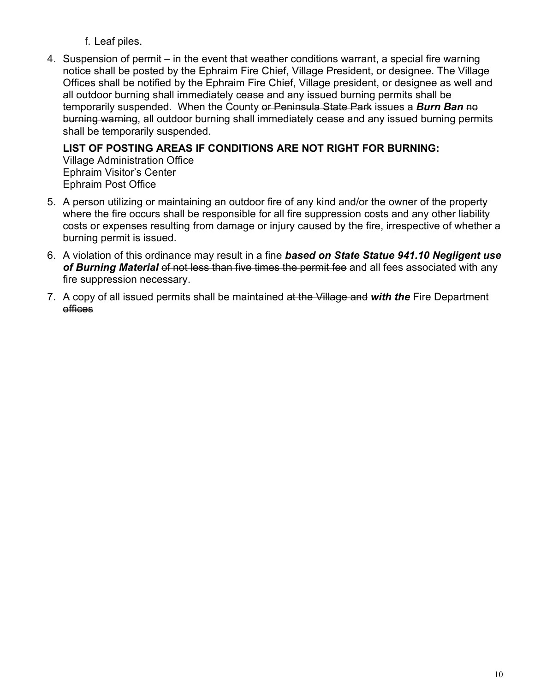f. Leaf piles.

4. Suspension of permit – in the event that weather conditions warrant, a special fire warning notice shall be posted by the Ephraim Fire Chief, Village President, or designee. The Village Offices shall be notified by the Ephraim Fire Chief, Village president, or designee as well and all outdoor burning shall immediately cease and any issued burning permits shall be temporarily suspended. When the County or Peninsula State Park issues a **Burn Ban** no burning warning, all outdoor burning shall immediately cease and any issued burning permits shall be temporarily suspended.

# **LIST OF POSTING AREAS IF CONDITIONS ARE NOT RIGHT FOR BURNING:**

Village Administration Office Ephraim Visitor's Center Ephraim Post Office

- 5. A person utilizing or maintaining an outdoor fire of any kind and/or the owner of the property where the fire occurs shall be responsible for all fire suppression costs and any other liability costs or expenses resulting from damage or injury caused by the fire, irrespective of whether a burning permit is issued.
- 6. A violation of this ordinance may result in a fine *based on State Statue 941.10 Negligent use*  of Burning Material of not less than five times the permit fee and all fees associated with any fire suppression necessary.
- 7. A copy of all issued permits shall be maintained at the Village and *with the* Fire Department offices